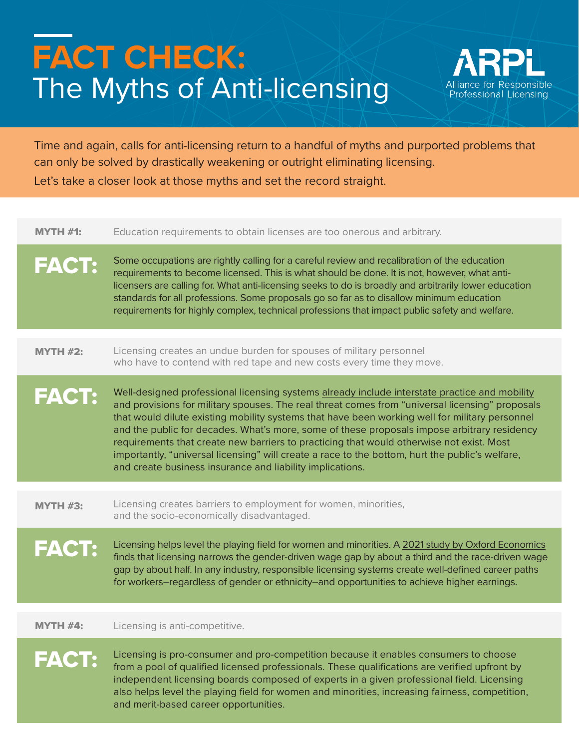## **FACT CHECK:** The Myths of Anti-licensing



Time and again, calls for anti-licensing return to a handful of myths and purported problems that can only be solved by drastically weakening or outright eliminating licensing. Let's take a closer look at those myths and set the record straight.

| <b>MYTH #1:</b> | Education requirements to obtain licenses are too onerous and arbitrary.                                                                                                                                                                                                                                                                                                                                                                                                                                                                                                                                                                                      |
|-----------------|---------------------------------------------------------------------------------------------------------------------------------------------------------------------------------------------------------------------------------------------------------------------------------------------------------------------------------------------------------------------------------------------------------------------------------------------------------------------------------------------------------------------------------------------------------------------------------------------------------------------------------------------------------------|
| <b>FACT:</b>    | Some occupations are rightly calling for a careful review and recalibration of the education<br>requirements to become licensed. This is what should be done. It is not, however, what anti-<br>licensers are calling for. What anti-licensing seeks to do is broadly and arbitrarily lower education<br>standards for all professions. Some proposals go so far as to disallow minimum education<br>requirements for highly complex, technical professions that impact public safety and welfare.                                                                                                                                                            |
| <b>MYTH #2:</b> | Licensing creates an undue burden for spouses of military personnel<br>who have to contend with red tape and new costs every time they move.                                                                                                                                                                                                                                                                                                                                                                                                                                                                                                                  |
| <b>FACT:</b>    | Well-designed professional licensing systems already include interstate practice and mobility<br>and provisions for military spouses. The real threat comes from "universal licensing" proposals<br>that would dilute existing mobility systems that have been working well for military personnel<br>and the public for decades. What's more, some of these proposals impose arbitrary residency<br>requirements that create new barriers to practicing that would otherwise not exist. Most<br>importantly, "universal licensing" will create a race to the bottom, hurt the public's welfare,<br>and create business insurance and liability implications. |
| <b>MYTH #3:</b> | Licensing creates barriers to employment for women, minorities,<br>and the socio-economically disadvantaged.                                                                                                                                                                                                                                                                                                                                                                                                                                                                                                                                                  |
| <b>FACT:</b>    | Licensing helps level the playing field for women and minorities. A 2021 study by Oxford Economics<br>finds that licensing narrows the gender-driven wage gap by about a third and the race-driven wage<br>gap by about half. In any industry, responsible licensing systems create well-defined career paths<br>for workers-regardless of gender or ethnicity-and opportunities to achieve higher earnings.                                                                                                                                                                                                                                                  |
| MYTH #4:        | Licensing is anti-competitive.                                                                                                                                                                                                                                                                                                                                                                                                                                                                                                                                                                                                                                |
| <b>FACT:</b>    | Licensing is pro-consumer and pro-competition because it enables consumers to choose<br>from a pool of qualified licensed professionals. These qualifications are verified upfront by<br>independent licensing boards composed of experts in a given professional field. Licensing<br>also helps level the playing field for women and minorities, increasing fairness, competition,<br>and merit-based career opportunities.                                                                                                                                                                                                                                 |